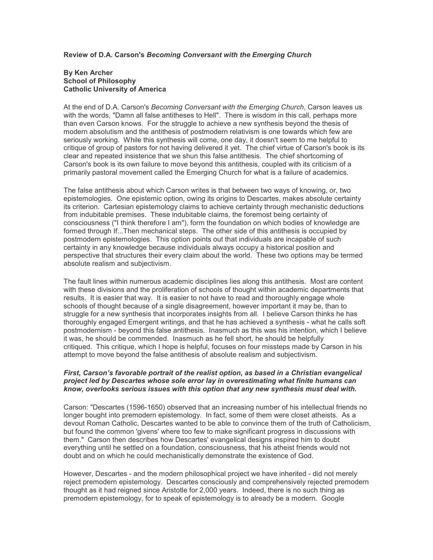## Review of D.A. Carson's Becoming Conversant with the Emerging Church

#### By Ken Archer School of Philosophy Catholic University of America

At the end of D.A. Carson's Becoming Conversant with the Emerging Church, Carson leaves us with the words, "Damn all false antitheses to Hell". There is wisdom in this call, perhaps more than even Carson knows. For the struggle to achieve a new synthesis beyond the thesis of modern absolutism and the antithesis of postmodern relativism is one towards which few are seriously working. While this synthesis will come, one day, it doesn't seem to me helpful to critique of group of pastors for not having delivered it yet. The chief virtue of Carson's book is its clear and repeated insistence that we shun this false antithesis. The chief shortcoming of Carson's book is its own failure to move beyond this antithesis, coupled with its criticism of a primarily pastoral movement called the Emerging Church for what is a failure of academics.

The false antithesis about which Carson writes is that between two ways of knowing, or, two epistemologies. One epistemic option, owing its origins to Descartes, makes absolute certainty its criterion. Cartesian epistemology claims to achieve certainty through mechanistic deductions from indubitable premises. These indubitable claims, the foremost being certainty of consciousness ("I think therefore I am"), form the foundation on which bodies of knowledge are formed through If...Then mechanical steps. The other side of this antithesis is occupied by postmodern epistemologies. This option points out that individuals are incapable of such certainty in any knowledge because individuals always occupy a historical position and perspective that structures their every claim about the world. These two options may be termed absolute realism and subjectivism.

The fault lines within numerous academic disciplines lies along this antithesis. Most are content with these divisions and the proliferation of schools of thought within academic departments that results. It is easier that way. It is easier to not have to read and thoroughly engage whole schools of thought because of a single disagreement, however important it may be, than to struggle for a new synthesis that incorporates insights from all. I believe Carson thinks he has thoroughly engaged Emergent writings, and that he has achieved a synthesis - what he calls soft postmodernism - beyond this false antithesis. Inasmuch as this was his intention, which I believe it was, he should be commended. Inasmuch as he fell short, he should be helpfully critiqued. This critique, which I hope is helpful, focuses on four missteps made by Carson in his attempt to move beyond the false antithesis of absolute realism and subjectivism.

## First, Carson's favorable portrait of the realist option, as based in a Christian evangelical project led by Descartes whose sole error lay in overestimating what finite humans can know, overlooks serious issues with this option that any new synthesis must deal with.

Carson: "Descartes (1596-1650) observed that an increasing number of his intellectual friends no longer bought into premodern epistemology. In fact, some of them were closet atheists. As a devout Roman Catholic, Descartes wanted to be able to convince them of the truth of Catholicism, but found the common 'givens' where too few to make significant progress in discussions with them." Carson then describes how Descartes' evangelical designs inspired him to doubt everything until he settled on a foundation, consciousness, that his atheist friends would not doubt and on which he could mechanistically demonstrate the existence of God.

However, Descartes - and the modern philosophical project we have inherited - did not merely reject premodern epistemology. Descartes consciously and comprehensively rejected premodern thought as it had reigned since Aristotle for 2,000 years. Indeed, there is no such thing as premodern epistemology, for to speak of epistemology is to already be a modern. Google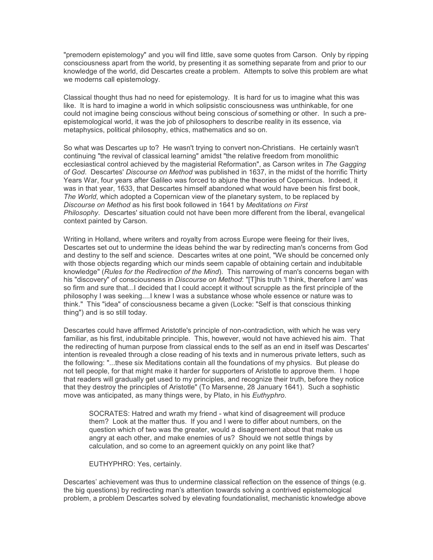"premodern epistemology" and you will find little, save some quotes from Carson. Only by ripping consciousness apart from the world, by presenting it as something separate from and prior to our knowledge of the world, did Descartes create a problem. Attempts to solve this problem are what we moderns call epistemology.

Classical thought thus had no need for epistemology. It is hard for us to imagine what this was like. It is hard to imagine a world in which solipsistic consciousness was unthinkable, for one could not imagine being conscious without being conscious of something or other. In such a preepistemological world, it was the job of philosophers to describe reality in its essence, via metaphysics, political philosophy, ethics, mathematics and so on.

So what was Descartes up to? He wasn't trying to convert non-Christians. He certainly wasn't continuing "the revival of classical learning" amidst "the relative freedom from monolithic ecclesiastical control achieved by the magisterial Reformation", as Carson writes in The Gagging of God. Descartes' Discourse on Method was published in 1637, in the midst of the horrific Thirty Years War, four years after Galileo was forced to abjure the theories of Copernicus. Indeed, it was in that year, 1633, that Descartes himself abandoned what would have been his first book, The World, which adopted a Copernican view of the planetary system, to be replaced by Discourse on Method as his first book followed in 1641 by Meditations on First Philosophy. Descartes' situation could not have been more different from the liberal, evangelical context painted by Carson.

Writing in Holland, where writers and royalty from across Europe were fleeing for their lives, Descartes set out to undermine the ideas behind the war by redirecting man's concerns from God and destiny to the self and science. Descartes writes at one point, "We should be concerned only with those objects regarding which our minds seem capable of obtaining certain and indubitable knowledge" (Rules for the Redirection of the Mind). This narrowing of man's concerns began with his "discovery" of consciousness in Discourse on Method: "[T]his truth 'I think, therefore I am' was so firm and sure that...I decided that I could accept it without scrupple as the first principle of the philosophy I was seeking....I knew I was a substance whose whole essence or nature was to think." This "idea" of consciousness became a given (Locke: "Self is that conscious thinking thing") and is so still today.

Descartes could have affirmed Aristotle's principle of non-contradiction, with which he was very familiar, as his first, indubitable principle. This, however, would not have achieved his aim. That the redirecting of human purpose from classical ends to the self as an end in itself was Descartes' intention is revealed through a close reading of his texts and in numerous private letters, such as the following: "...these six Meditations contain all the foundations of my physics. But please do not tell people, for that might make it harder for supporters of Aristotle to approve them. I hope that readers will gradually get used to my principles, and recognize their truth, before they notice that they destroy the principles of Aristotle" (To Marsenne, 28 January 1641). Such a sophistic move was anticipated, as many things were, by Plato, in his *Euthyphro*.

SOCRATES: Hatred and wrath my friend - what kind of disagreement will produce them? Look at the matter thus. If you and I were to differ about numbers, on the question which of two was the greater, would a disagreement about that make us angry at each other, and make enemies of us? Should we not settle things by calculation, and so come to an agreement quickly on any point like that?

EUTHYPHRO: Yes, certainly.

Descartes' achievement was thus to undermine classical reflection on the essence of things (e.g. the big questions) by redirecting man's attention towards solving a contrived epistemological problem, a problem Descartes solved by elevating foundationalist, mechanistic knowledge above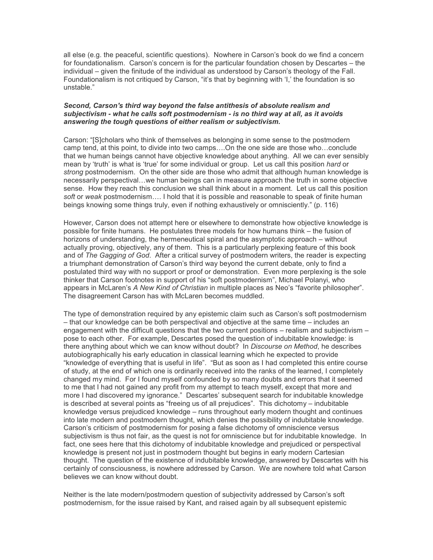all else (e.g. the peaceful, scientific questions). Nowhere in Carson's book do we find a concern for foundationalism. Carson's concern is for the particular foundation chosen by Descartes – the individual – given the finitude of the individual as understood by Carson's theology of the Fall. Foundationalism is not critiqued by Carson, "it's that by beginning with 'I,' the foundation is so unstable."

#### Second, Carson's third way beyond the false antithesis of absolute realism and subjectivism - what he calls soft postmodernism - is no third way at all, as it avoids answering the tough questions of either realism or subjectivism.

Carson: "[S]cholars who think of themselves as belonging in some sense to the postmodern camp tend, at this point, to divide into two camps….On the one side are those who…conclude that we human beings cannot have objective knowledge about anything. All we can ever sensibly mean by 'truth' is what is 'true' for some individual or group. Let us call this position hard or strong postmodernism. On the other side are those who admit that although human knowledge is necessarily perspectival…we human beings can in measure approach the truth in some objective sense. How they reach this conclusion we shall think about in a moment. Let us call this position soft or weak postmodernism.... I hold that it is possible and reasonable to speak of finite human beings knowing some things truly, even if nothing exhaustively or omnisciently." (p. 116)

However, Carson does not attempt here or elsewhere to demonstrate how objective knowledge is possible for finite humans. He postulates three models for how humans think – the fusion of horizons of understanding, the hermeneutical spiral and the asymptotic approach – without actually proving, objectively, any of them. This is a particularly perplexing feature of this book and of The Gagging of God. After a critical survey of postmodern writers, the reader is expecting a triumphant demonstration of Carson's third way beyond the current debate, only to find a postulated third way with no support or proof or demonstration. Even more perplexing is the sole thinker that Carson footnotes in support of his "soft postmodernism", Michael Polanyi, who appears in McLaren's A New Kind of Christian in multiple places as Neo's "favorite philosopher". The disagreement Carson has with McLaren becomes muddled.

The type of demonstration required by any epistemic claim such as Carson's soft postmodernism – that our knowledge can be both perspectival and objective at the same time – includes an engagement with the difficult questions that the two current positions – realism and subjectivism – pose to each other. For example, Descartes posed the question of indubitable knowledge: is there anything about which we can know without doubt? In Discourse on Method, he describes autobiographically his early education in classical learning which he expected to provide "knowledge of everything that is useful in life". "But as soon as I had completed this entire course of study, at the end of which one is ordinarily received into the ranks of the learned, I completely changed my mind. For I found myself confounded by so many doubts and errors that it seemed to me that I had not gained any profit from my attempt to teach myself, except that more and more I had discovered my ignorance." Descartes' subsequent search for indubitable knowledge is described at several points as "freeing us of all prejudices". This dichotomy – indubitable knowledge versus prejudiced knowledge – runs throughout early modern thought and continues into late modern and postmodern thought, which denies the possibility of indubitable knowledge. Carson's criticism of postmodernism for posing a false dichotomy of omniscience versus subjectivism is thus not fair, as the quest is not for omniscience but for indubitable knowledge. In fact, one sees here that this dichotomy of indubitable knowledge and prejudiced or perspectival knowledge is present not just in postmodern thought but begins in early modern Cartesian thought. The question of the existence of indubitable knowledge, answered by Descartes with his certainly of consciousness, is nowhere addressed by Carson. We are nowhere told what Carson believes we can know without doubt.

Neither is the late modern/postmodern question of subjectivity addressed by Carson's soft postmodernism, for the issue raised by Kant, and raised again by all subsequent epistemic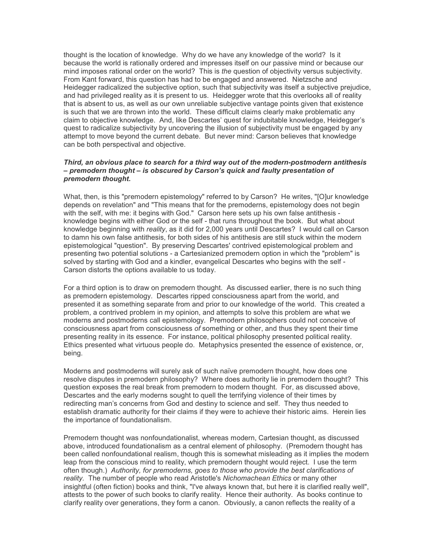thought is the location of knowledge. Why do we have any knowledge of the world? Is it because the world is rationally ordered and impresses itself on our passive mind or because our mind imposes rational order on the world? This is the question of objectivity versus subjectivity. From Kant forward, this question has had to be engaged and answered. Nietzsche and Heidegger radicalized the subjective option, such that subjectivity was itself a subjective prejudice, and had privileged reality as it is present to us. Heidegger wrote that this overlooks all of reality that is absent to us, as well as our own unreliable subjective vantage points given that existence is such that we are thrown into the world. These difficult claims clearly make problematic any claim to objective knowledge. And, like Descartes' quest for indubitable knowledge, Heidegger's quest to radicalize subjectivity by uncovering the illusion of subjectivity must be engaged by any attempt to move beyond the current debate. But never mind: Carson believes that knowledge can be both perspectival and objective.

## Third, an obvious place to search for a third way out of the modern-postmodern antithesis – premodern thought – is obscured by Carson's quick and faulty presentation of premodern thought.

What, then, is this "premodern epistemology" referred to by Carson? He writes, "[O]ur knowledge depends on revelation" and "This means that for the premoderns, epistemology does not begin with the self, with me: it begins with God." Carson here sets up his own false antithesis knowledge begins with either God or the self - that runs throughout the book. But what about knowledge beginning with reality, as it did for 2,000 years until Descartes? I would call on Carson to damn his own false antithesis, for both sides of his antithesis are still stuck within the modern epistemological "question". By preserving Descartes' contrived epistemological problem and presenting two potential solutions - a Cartesianized premodern option in which the "problem" is solved by starting with God and a kindler, evangelical Descartes who begins with the self - Carson distorts the options available to us today.

For a third option is to draw on premodern thought. As discussed earlier, there is no such thing as premodern epistemology. Descartes ripped consciousness apart from the world, and presented it as something separate from and prior to our knowledge of the world. This created a problem, a contrived problem in my opinion, and attempts to solve this problem are what we moderns and postmoderns call epistemology. Premodern philosophers could not conceive of consciousness apart from consciousness of something or other, and thus they spent their time presenting reality in its essence. For instance, political philosophy presented political reality. Ethics presented what virtuous people do. Metaphysics presented the essence of existence, or, being.

Moderns and postmoderns will surely ask of such naïve premodern thought, how does one resolve disputes in premodern philosophy? Where does authority lie in premodern thought? This question exposes the real break from premodern to modern thought. For, as discussed above, Descartes and the early moderns sought to quell the terrifying violence of their times by redirecting man's concerns from God and destiny to science and self. They thus needed to establish dramatic authority for their claims if they were to achieve their historic aims. Herein lies the importance of foundationalism.

Premodern thought was nonfoundationalist, whereas modern, Cartesian thought, as discussed above, introduced foundationalism as a central element of philosophy. (Premodern thought has been called nonfoundational realism, though this is somewhat misleading as it implies the modern leap from the conscious mind to reality, which premodern thought would reject. I use the term often though.) Authority, for premoderns, goes to those who provide the best clarifications of reality. The number of people who read Aristotle's Nichomachean Ethics or many other insightful (often fiction) books and think, "I've always known that, but here it is clarified really well", attests to the power of such books to clarify reality. Hence their authority. As books continue to clarify reality over generations, they form a canon. Obviously, a canon reflects the reality of a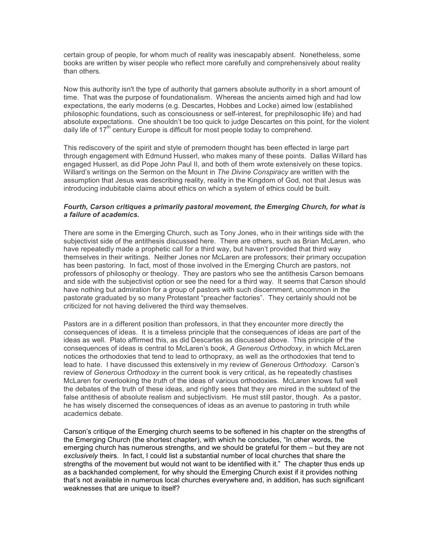certain group of people, for whom much of reality was inescapably absent. Nonetheless, some books are written by wiser people who reflect more carefully and comprehensively about reality than others.

Now this authority isn't the type of authority that garners absolute authority in a short amount of time. That was the purpose of foundationalism. Whereas the ancients aimed high and had low expectations, the early moderns (e.g. Descartes, Hobbes and Locke) aimed low (established philosophic foundations, such as consciousness or self-interest, for prephilosophic life) and had absolute expectations. One shouldn't be too quick to judge Descartes on this point, for the violent daily life of  $17<sup>th</sup>$  century Europe is difficult for most people today to comprehend.

This rediscovery of the spirit and style of premodern thought has been effected in large part through engagement with Edmund Husserl, who makes many of these points. Dallas Willard has engaged Husserl, as did Pope John Paul II, and both of them wrote extensively on these topics. Willard's writings on the Sermon on the Mount in The Divine Conspiracy are written with the assumption that Jesus was describing reality, reality in the Kingdom of God, not that Jesus was introducing indubitable claims about ethics on which a system of ethics could be built.

# Fourth, Carson critiques a primarily pastoral movement, the Emerging Church, for what is a failure of academics.

There are some in the Emerging Church, such as Tony Jones, who in their writings side with the subjectivist side of the antithesis discussed here. There are others, such as Brian McLaren, who have repeatedly made a prophetic call for a third way, but haven't provided that third way themselves in their writings. Neither Jones nor McLaren are professors; their primary occupation has been pastoring. In fact, most of those involved in the Emerging Church are pastors, not professors of philosophy or theology. They are pastors who see the antithesis Carson bemoans and side with the subjectivist option or see the need for a third way. It seems that Carson should have nothing but admiration for a group of pastors with such discernment, uncommon in the pastorate graduated by so many Protestant "preacher factories". They certainly should not be criticized for not having delivered the third way themselves.

Pastors are in a different position than professors, in that they encounter more directly the consequences of ideas. It is a timeless principle that the consequences of ideas are part of the ideas as well. Plato affirmed this, as did Descartes as discussed above. This principle of the consequences of ideas is central to McLaren's book, A Generous Orthodoxy, in which McLaren notices the orthodoxies that tend to lead to orthopraxy, as well as the orthodoxies that tend to lead to hate. I have discussed this extensively in my review of Generous Orthodoxy. Carson's review of Generous Orthodoxy in the current book is very critical, as he repeatedly chastises McLaren for overlooking the truth of the ideas of various orthodoxies. McLaren knows full well the debates of the truth of these ideas, and rightly sees that they are mired in the subtext of the false antithesis of absolute realism and subjectivism. He must still pastor, though. As a pastor, he has wisely discerned the consequences of ideas as an avenue to pastoring in truth while academics debate.

Carson's critique of the Emerging church seems to be softened in his chapter on the strengths of the Emerging Church (the shortest chapter), with which he concludes, "In other words, the emerging church has numerous strengths, and we should be grateful for them – but they are not exclusively theirs. In fact, I could list a substantial number of local churches that share the strengths of the movement but would not want to be identified with it." The chapter thus ends up as a backhanded complement, for why should the Emerging Church exist if it provides nothing that's not available in numerous local churches everywhere and, in addition, has such significant weaknesses that are unique to itself?